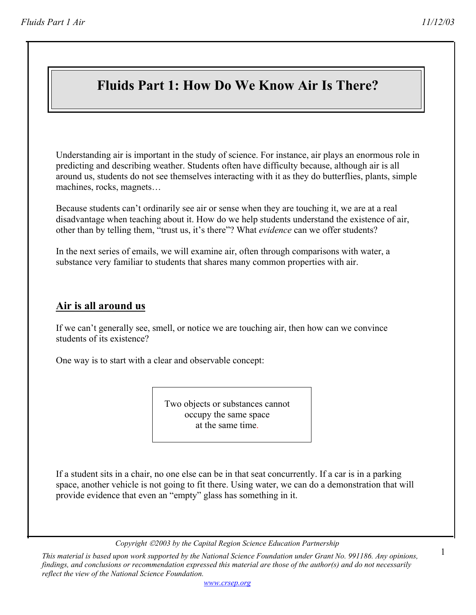1

# **Fluids Part 1: How Do We Know Air Is There?**

Understanding air is important in the study of science. For instance, air plays an enormous role in predicting and describing weather. Students often have difficulty because, although air is all around us, students do not see themselves interacting with it as they do butterflies, plants, simple machines, rocks, magnets…

Because students can't ordinarily see air or sense when they are touching it, we are at a real disadvantage when teaching about it. How do we help students understand the existence of air, other than by telling them, "trust us, it's there"? What *evidence* can we offer students?

In the next series of emails, we will examine air, often through comparisons with water, a substance very familiar to students that shares many common properties with air.

#### **Air is all around us**

If we can't generally see, smell, or notice we are touching air, then how can we convince students of its existence?

One way is to start with a clear and observable concept:

Two objects or substances cannot occupy the same space at the same time.

If a student sits in a chair, no one else can be in that seat concurrently. If a car is in a parking space, another vehicle is not going to fit there. Using water, we can do a demonstration that will provide evidence that even an "empty" glass has something in it.

*Copyright 2003 by the Capital Region Science Education Partnership* 

*This material is based upon work supported by the National Science Foundation under Grant No. 991186. Any opinions, findings, and conclusions or recommendation expressed this material are those of the author(s) and do not necessarily reflect the view of the National Science Foundation.*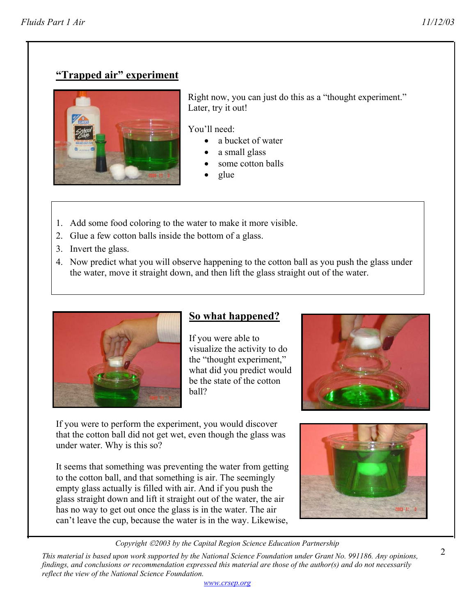# **"Trapped air" experiment**



Right now, you can just do this as a "thought experiment." Later, try it out!

You'll need:

- a bucket of water
- a small glass
- some cotton balls
- glue
- 1. Add some food coloring to the water to make it more visible.
- 2. Glue a few cotton balls inside the bottom of a glass.
- 3. Invert the glass.
- 4. Now predict what you will observe happening to the cotton ball as you push the glass under the water, move it straight down, and then lift the glass straight out of the water.



## **So what happened?**

If you were able to visualize the activity to do the "thought experiment," what did you predict would be the state of the cotton ball?



It seems that something was preventing the water from getting to the cotton ball, and that something is air. The seemingly empty glass actually is filled with air. And if you push the glass straight down and lift it straight out of the water, the air has no way to get out once the glass is in the water. The air can't leave the cup, because the water is in the way. Likewise,





*Copyright 2003 by the Capital Region Science Education Partnership* 

*This material is based upon work supported by the National Science Foundation under Grant No. 991186. Any opinions, findings, and conclusions or recommendation expressed this material are those of the author(s) and do not necessarily reflect the view of the National Science Foundation. www.crsep.org*